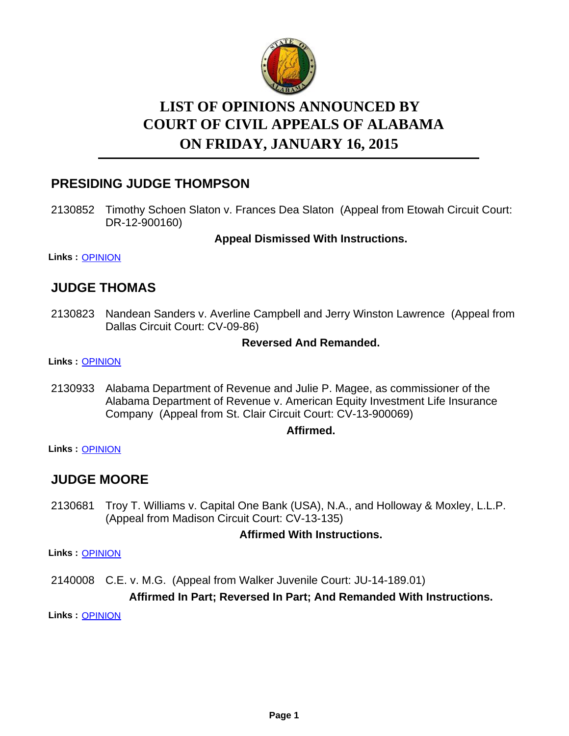

# **LIST OF OPINIONS ANNOUNCED BY ON FRIDAY, JANUARY 16, 2015 COURT OF CIVIL APPEALS OF ALABAMA**

# **PRESIDING JUDGE THOMPSON**

2130852 Timothy Schoen Slaton v. Frances Dea Slaton (Appeal from Etowah Circuit Court: DR-12-900160)

**Appeal Dismissed With Instructions.**

**Links :** [OPINION](https://acis.alabama.gov/displaydocs.cfm?no=632711&event=49D0JT8KP)

# **JUDGE THOMAS**

2130823 Nandean Sanders v. Averline Campbell and Jerry Winston Lawrence (Appeal from Dallas Circuit Court: CV-09-86)

# **Reversed And Remanded.**

#### **Links :** [OPINION](https://acis.alabama.gov/displaydocs.cfm?no=632710&event=49D0JT8CV)

2130933 Alabama Department of Revenue and Julie P. Magee, as commissioner of the Alabama Department of Revenue v. American Equity Investment Life Insurance Company (Appeal from St. Clair Circuit Court: CV-13-900069)

### **Affirmed.**

**Links :** [OPINION](https://acis.alabama.gov/displaydocs.cfm?no=632712&event=49D0JT8QR)

# **JUDGE MOORE**

2130681 Troy T. Williams v. Capital One Bank (USA), N.A., and Holloway & Moxley, L.L.P. (Appeal from Madison Circuit Court: CV-13-135)

### **Affirmed With Instructions.**

**Links :** [OPINION](https://acis.alabama.gov/displaydocs.cfm?no=632709&event=49D0JT86U)

2140008 C.E. v. M.G. (Appeal from Walker Juvenile Court: JU-14-189.01)

# **Affirmed In Part; Reversed In Part; And Remanded With Instructions.**

**Links :** [OPINION](https://acis.alabama.gov/displaydocs.cfm?no=632713&event=49D0JT9B5)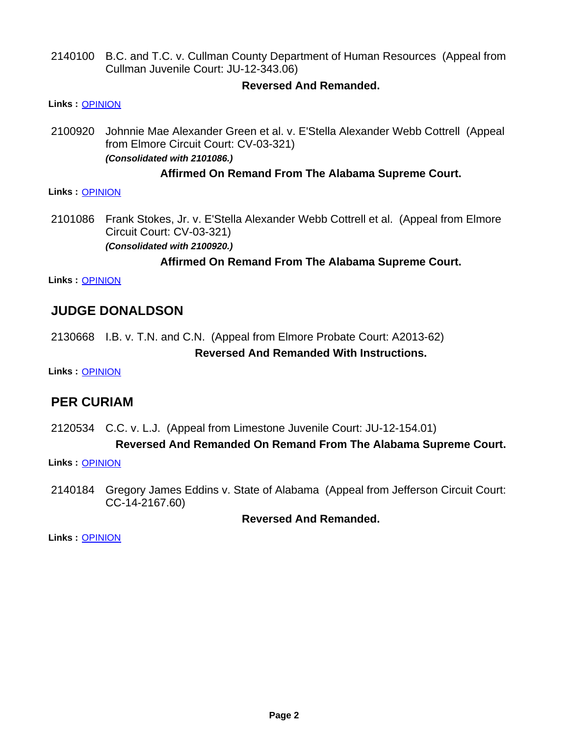2140100 B.C. and T.C. v. Cullman County Department of Human Resources (Appeal from Cullman Juvenile Court: JU-12-343.06)

# **Reversed And Remanded.**

#### **Links :** [OPINION](https://acis.alabama.gov/displaydocs.cfm?no=632714&event=49D0JT9I2)

2100920 Johnnie Mae Alexander Green et al. v. E'Stella Alexander Webb Cottrell (Appeal from Elmore Circuit Court: CV-03-321) *(Consolidated with 2101086.)*

### **Affirmed On Remand From The Alabama Supreme Court.**

#### **Links :** [OPINION](https://acis.alabama.gov/displaydocs.cfm?no=632705&event=49D0JT66F)

2101086 Frank Stokes, Jr. v. E'Stella Alexander Webb Cottrell et al. (Appeal from Elmore Circuit Court: CV-03-321) *(Consolidated with 2100920.)*

# **Affirmed On Remand From The Alabama Supreme Court.**

**Links :** [OPINION](https://acis.alabama.gov/displaydocs.cfm?no=632705&event=49D0JT66F)

# **JUDGE DONALDSON**

2130668 I.B. v. T.N. and C.N. (Appeal from Elmore Probate Court: A2013-62) **Reversed And Remanded With Instructions.**

**Links :** [OPINION](https://acis.alabama.gov/displaydocs.cfm?no=632708&event=49D0JT7ZW)

# **PER CURIAM**

2120534 C.C. v. L.J. (Appeal from Limestone Juvenile Court: JU-12-154.01)

### **Reversed And Remanded On Remand From The Alabama Supreme Court.**

**Links :** [OPINION](https://acis.alabama.gov/displaydocs.cfm?no=632706&event=49D0JT7M1)

2140184 Gregory James Eddins v. State of Alabama (Appeal from Jefferson Circuit Court: CC-14-2167.60)

### **Reversed And Remanded.**

**Links :** [OPINION](https://acis.alabama.gov/displaydocs.cfm?no=632715&event=49D0JT9O4)